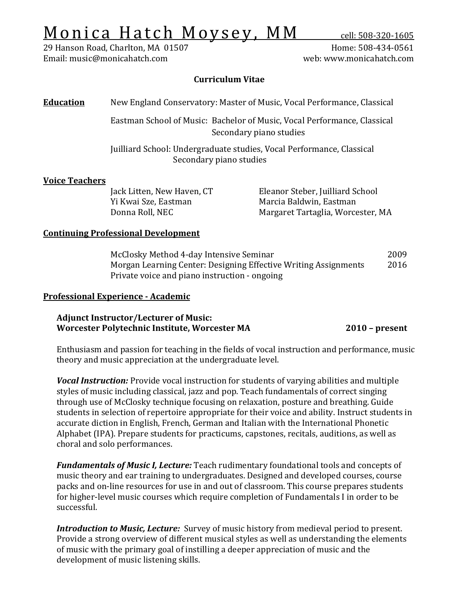# $Monica Hatch Most Woysey, MM cell: 508-320-1605 l29 Hansen Road, Charlton, MA 01507 H$ </u>

29 Hanson Road, Charlton, MA 01507 Home: 508-434-0561 Email: music@monicahatch.com

# **Curriculum Vitae**

# **Education** New England Conservatory: Master of Music, Vocal Performance, Classical

Eastman School of Music: Bachelor of Music, Vocal Performance, Classical Secondary piano studies

Juilliard School: Undergraduate studies, Vocal Performance, Classical Secondary piano studies

# **Voice Teachers**

Jack Litten, New Haven, CT Eleanor Steber, Juilliard School Yi Kwai Sze, Eastman Marcia Baldwin, Eastman<br>Donna Roll, NEC Margaret Tartaglia, Worce Margaret Tartaglia, Worcester, MA

# **Continuing Professional Development**

McClosky Method 4-day Intensive Seminar<br>Morgan Learning Center: Designing Effective Writing Assignments 2016 Morgan Learning Center: Designing Effective Writing Assignments Private voice and piano instruction - ongoing

# **Professional Experience - Academic**

# **Adjunct Instructor/Lecturer of Music: Worcester Polytechnic Institute, Worcester MA 2010 – present**

Enthusiasm and passion for teaching in the fields of vocal instruction and performance, music theory and music appreciation at the undergraduate level.

*Vocal Instruction:* Provide vocal instruction for students of varying abilities and multiple styles of music including classical, jazz and pop. Teach fundamentals of correct singing through use of McClosky technique focusing on relaxation, posture and breathing. Guide students in selection of repertoire appropriate for their voice and ability. Instruct students in accurate diction in English, French, German and Italian with the International Phonetic Alphabet (IPA). Prepare students for practicums, capstones, recitals, auditions, as well as choral and solo performances.

*Fundamentals of Music I, Lecture:* Teach rudimentary foundational tools and concepts of music theory and ear training to undergraduates. Designed and developed courses, course packs and on-line resources for use in and out of classroom. This course prepares students for higher-level music courses which require completion of Fundamentals I in order to be successful.

*Introduction to Music, Lecture:* Survey of music history from medieval period to present. Provide a strong overview of different musical styles as well as understanding the elements of music with the primary goal of instilling a deeper appreciation of music and the development of music listening skills.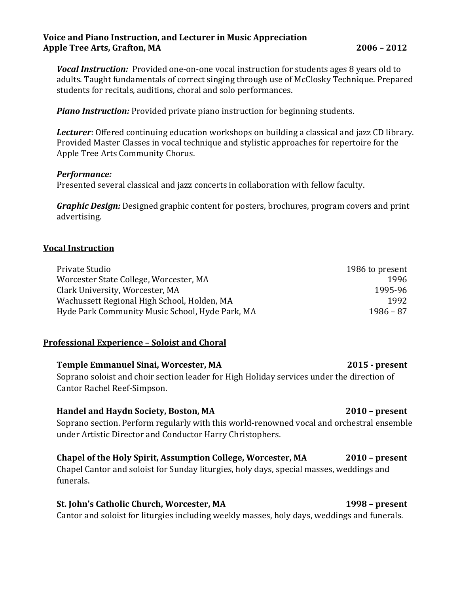# **Voice and Piano Instruction, and Lecturer in Music Appreciation Apple Tree Arts, Grafton, MA 2006 – 2012**

*Vocal Instruction:* Provided one-on-one vocal instruction for students ages 8 years old to adults. Taught fundamentals of correct singing through use of McClosky Technique. Prepared students for recitals, auditions, choral and solo performances.

*Piano Instruction:* Provided private piano instruction for beginning students.

*Lecturer*: Offered continuing education workshops on building a classical and jazz CD library. Provided Master Classes in vocal technique and stylistic approaches for repertoire for the Apple Tree Arts Community Chorus.

### *Performance:*

Presented several classical and jazz concerts in collaboration with fellow faculty.

*Graphic Design:* Designed graphic content for posters, brochures, program covers and print advertising.

# **Vocal Instruction**

| Private Studio                                  | 1986 to present |
|-------------------------------------------------|-----------------|
| Worcester State College, Worcester, MA          | 1996            |
| Clark University, Worcester, MA                 | 1995-96         |
| Wachussett Regional High School, Holden, MA     | 1992            |
| Hyde Park Community Music School, Hyde Park, MA | $1986 - 87$     |

### **Professional Experience – Soloist and Choral**

# **Temple Emmanuel Sinai, Worcester, MA 2015 - present** Soprano soloist and choir section leader for High Holiday services under the direction of Cantor Rachel Reef-Simpson.

### **Handel and Haydn Society, Boston, MA 2010 – present**

Soprano section. Perform regularly with this world-renowned vocal and orchestral ensemble under Artistic Director and Conductor Harry Christophers.

### **Chapel of the Holy Spirit, Assumption College, Worcester, MA 2010 – present**

Chapel Cantor and soloist for Sunday liturgies, holy days, special masses, weddings and funerals.

# **St. John's Catholic Church, Worcester, MA 1998 – present**

Cantor and soloist for liturgies including weekly masses, holy days, weddings and funerals.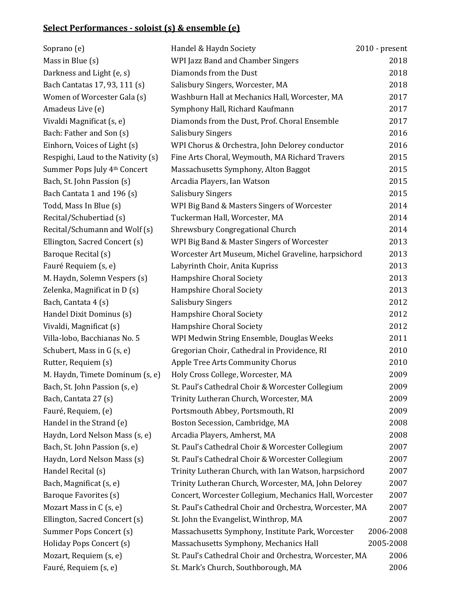# **Select Performances - soloist (s) & ensemble (e)**

| Soprano (e)                        | Handel & Haydn Society                                  | $2010$ - present |
|------------------------------------|---------------------------------------------------------|------------------|
| Mass in Blue $(s)$                 | WPI Jazz Band and Chamber Singers                       | 2018             |
| Darkness and Light (e, s)          | Diamonds from the Dust                                  | 2018             |
| Bach Cantatas 17, 93, 111 (s)      | Salisbury Singers, Worcester, MA                        | 2018             |
| Women of Worcester Gala (s)        | Washburn Hall at Mechanics Hall, Worcester, MA          | 2017             |
| Amadeus Live (e)                   | Symphony Hall, Richard Kaufmann                         | 2017             |
| Vivaldi Magnificat (s, e)          | Diamonds from the Dust, Prof. Choral Ensemble           | 2017             |
| Bach: Father and Son (s)           | <b>Salisbury Singers</b>                                | 2016             |
| Einhorn, Voices of Light (s)       | WPI Chorus & Orchestra, John Delorey conductor          | 2016             |
| Respighi, Laud to the Nativity (s) | Fine Arts Choral, Weymouth, MA Richard Travers          | 2015             |
| Summer Pops July 4th Concert       | Massachusetts Symphony, Alton Baggot                    | 2015             |
| Bach, St. John Passion (s)         | Arcadia Players, Ian Watson                             | 2015             |
| Bach Cantata 1 and 196 (s)         | <b>Salisbury Singers</b>                                | 2015             |
| Todd, Mass In Blue (s)             | WPI Big Band & Masters Singers of Worcester             | 2014             |
| Recital/Schubertiad (s)            | Tuckerman Hall, Worcester, MA                           | 2014             |
| Recital/Schumann and Wolf (s)      | Shrewsbury Congregational Church                        | 2014             |
| Ellington, Sacred Concert (s)      | WPI Big Band & Master Singers of Worcester              | 2013             |
| Baroque Recital (s)                | Worcester Art Museum, Michel Graveline, harpsichord     | 2013             |
| Fauré Requiem (s, e)               | Labyrinth Choir, Anita Kupriss                          | 2013             |
| M. Haydn, Solemn Vespers (s)       | Hampshire Choral Society                                | 2013             |
| Zelenka, Magnificat in D (s)       | Hampshire Choral Society                                | 2013             |
| Bach, Cantata 4 (s)                | <b>Salisbury Singers</b>                                | 2012             |
| Handel Dixit Dominus (s)           | Hampshire Choral Society                                | 2012             |
| Vivaldi, Magnificat (s)            | Hampshire Choral Society                                | 2012             |
| Villa-lobo, Bacchianas No. 5       | WPI Medwin String Ensemble, Douglas Weeks               | 2011             |
| Schubert, Mass in G (s, e)         | Gregorian Choir, Cathedral in Providence, RI            | 2010             |
| Rutter, Requiem (s)                | Apple Tree Arts Community Chorus                        | 2010             |
| M. Haydn, Timete Dominum (s, e)    | Holy Cross College, Worcester, MA                       | 2009             |
| Bach, St. John Passion (s, e)      | St. Paul's Cathedral Choir & Worcester Collegium        | 2009             |
| Bach, Cantata 27 (s)               | Trinity Lutheran Church, Worcester, MA                  | 2009             |
| Fauré, Requiem, (e)                | Portsmouth Abbey, Portsmouth, RI                        | 2009             |
| Handel in the Strand (e)           | Boston Secession, Cambridge, MA                         | 2008             |
| Haydn, Lord Nelson Mass (s, e)     | Arcadia Players, Amherst, MA                            | 2008             |
| Bach, St. John Passion (s, e)      | St. Paul's Cathedral Choir & Worcester Collegium        | 2007             |
| Haydn, Lord Nelson Mass (s)        | St. Paul's Cathedral Choir & Worcester Collegium        | 2007             |
| Handel Recital (s)                 | Trinity Lutheran Church, with Ian Watson, harpsichord   | 2007             |
| Bach, Magnificat (s, e)            | Trinity Lutheran Church, Worcester, MA, John Delorey    | 2007             |
| Baroque Favorites (s)              | Concert, Worcester Collegium, Mechanics Hall, Worcester | 2007             |
| Mozart Mass in C (s, e)            | St. Paul's Cathedral Choir and Orchestra, Worcester, MA | 2007             |
| Ellington, Sacred Concert (s)      | St. John the Evangelist, Winthrop, MA                   | 2007             |
| Summer Pops Concert (s)            | Massachusetts Symphony, Institute Park, Worcester       | 2006-2008        |
| Holiday Pops Concert (s)           | Massachusetts Symphony, Mechanics Hall                  | 2005-2008        |
| Mozart, Requiem (s, e)             | St. Paul's Cathedral Choir and Orchestra, Worcester, MA | 2006             |
| Fauré, Requiem (s, e)              | St. Mark's Church, Southborough, MA                     | 2006             |